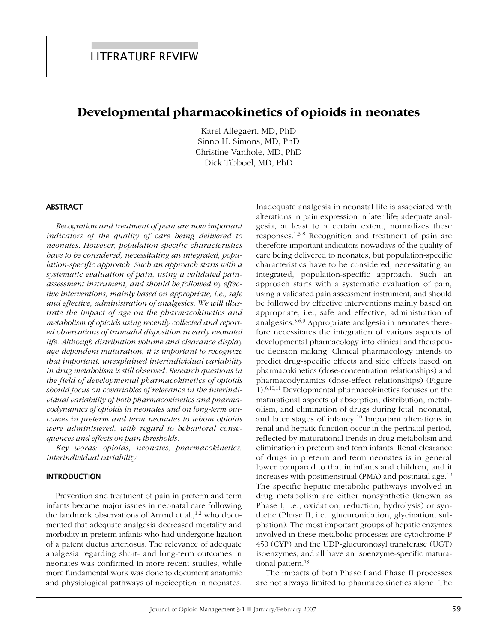# Developmental pharmacokinetics of opioids in neonates

Karel Allegaert, MD, PhD Sinno H. Simons, MD, PhD Christine Vanhole, MD, PhD Dick Tibboel, MD, PhD

### **ABSTRACT**

Recognition and treatment of pain are now important indicators of the quality of care being delivered to neonates. However, population-specific characteristics have to be considered, necessitating an integrated, population-specific approach. Such an approach starts with a systematic evaluation of pain, using a validated painassessment instrument, and should be followed by effective interventions, mainly based on appropriate, *i.e.*, safe and effective, administration of analgesics. We will illustrate the impact of age on the pharmacokinetics and metabolism of opioids using recently collected and reported observations of tramadol disposition in early neonatal life. Although distribution volume and clearance display age-dependent maturation, it is important to recognize that important, unexplained interindividual variability in drug metabolism is still observed. Research questions in the field of developmental pharmacokinetics of opioids should focus on covariables of relevance in the interindividual variability of both pharmacokinetics and pharmacodynamics of opioids in neonates and on long-term outcomes in preterm and term neonates to whom opioids were administered, with regard to behavioral consequences and effects on pain thresholds.

Key words: opioids, neonates, pharmacokinetics, interindividual variability

#### **INTRODUCTION**

Prevention and treatment of pain in preterm and term infants became major issues in neonatal care following the landmark observations of Anand et al.,<sup>1,2</sup> who documented that adequate analgesia decreased mortality and morbidity in preterm infants who had undergone ligation of a patent ductus arteriosus. The relevance of adequate analgesia regarding short- and long-term outcomes in neonates was confirmed in more recent studies, while more fundamental work was done to document anatomic and physiological pathways of nociception in neonates. Inadequate analgesia in neonatal life is associated with alterations in pain expression in later life; adequate analgesia, at least to a certain extent, normalizes these responses.<sup>1,3-8</sup> Recognition and treatment of pain are therefore important indicators nowadays of the quality of care being delivered to neonates, but population-specific characteristics have to be considered, necessitating an integrated, population-specific approach. Such an approach starts with a systematic evaluation of pain, using a validated pain assessment instrument, and should be followed by effective interventions mainly based on appropriate, i.e., safe and effective, administration of analgesics.<sup>5,6,9</sup> Appropriate analgesia in neonates therefore necessitates the integration of various aspects of developmental pharmacology into clinical and therapeutic decision making. Clinical pharmacology intends to predict drug-specific effects and side effects based on pharmacokinetics (dose-concentration relationships) and pharmacodynamics (dose-effect relationships) (Figure  $1$ .<sup>6,10,11</sup> Developmental pharmacokinetics focuses on the maturational aspects of absorption, distribution, metabolism, and elimination of drugs during fetal, neonatal, and later stages of infancy.<sup>10</sup> Important alterations in renal and hepatic function occur in the perinatal period, reflected by maturational trends in drug metabolism and elimination in preterm and term infants. Renal clearance of drugs in preterm and term neonates is in general lower compared to that in infants and children, and it increases with postmenstrual (PMA) and postnatal age.<sup>12</sup> The specific hepatic metabolic pathways involved in drug metabolism are either nonsynthetic (known as Phase I, i.e., oxidation, reduction, hydrolysis) or synthetic (Phase II, i.e., glucuronidation, glycination, sulphation). The most important groups of hepatic enzymes involved in these metabolic processes are cytochrome P 450 (CYP) and the UDP-glucuronosyl transferase (UGT) isoenzymes, and all have an isoenzyme-specific maturational pattern.<sup>13</sup>

The impacts of both Phase I and Phase II processes are not always limited to pharmacokinetics alone. The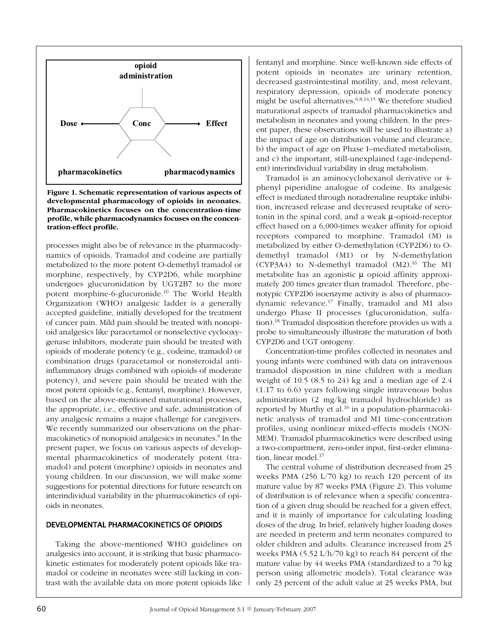

Figure 1. Schematic representation of various aspects of developmental pharmacology of opioids in neonates. Pharmacokinetics focuses on the concentration-time profile, while pharmacodynamics focuses on the concentration-effect profile.

processes might also be of relevance in the pharmacodynamics of opioids. Tramadol and codeine are partially metabolized to the more potent O-demethyl tramadol or morphine, respectively, by CYP2D6, while morphine undergoes glucuronidation by UGT2B7 to the more potent morphine-6-glucuronide.<sup>10</sup> The World Health Organization (WHO) analgesic ladder is a generally accepted guideline, initially developed for the treatment of cancer pain. Mild pain should be treated with nonopioid analgesics like paracetamol or nonselective cyclooxygenase inhibitors, moderate pain should be treated with opioids of moderate potency (e.g., codeine, tramadol) or combination drugs (paracetamol or nonsteroidal antiinflammatory drugs combined with opioids of moderate potency), and severe pain should be treated with the most potent opioids (e.g., fentanyl, morphine). However, based on the above-mentioned maturational processes, the appropriate, i.e., effective and safe, administration of any analgesic remains a major challenge for caregivers. We recently summarized our observations on the pharmacokinetics of nonopioid analgesics in neonates.<sup>9</sup> In the present paper, we focus on various aspects of developmental pharmacokinetics of moderately potent (tramadol) and potent (morphine) opioids in neonates and young children. In our discussion, we will make some suggestions for potential directions for future research on interindividual variability in the pharmacokinetics of opioids in neonates.

#### DEVELOPMENTAL PHARMACOKINETICS OF OPIOIDS

Taking the above-mentioned WHO guidelines on analgesics into account, it is striking that basic pharmacokinetic estimates for moderately potent opioids like tramadol or codeine in neonates were still lacking in contrast with the available data on more potent opioids like

fentanyl and morphine. Since well-known side effects of potent opioids in neonates are urinary retention, decreased gastrointestinal motility, and, most relevant, respiratory depression, opioids of moderate potency might be useful alternatives.<sup>6,8,14,15</sup> We therefore studied maturational aspects of tramadol pharmacokinetics and metabolism in neonates and young children. In the present paper, these observations will be used to illustrate a) the impact of age on distribution volume and clearance, b) the impact of age on Phase I–mediated metabolism, and c) the important, still-unexplained (age-independent) interindividual variability in drug metabolism.

Tramadol is an aminocyclohexanol derivative or 4phenyl piperidine analogue of codeine. Its analgesic effect is mediated through noradrenaline reuptake inhibition, increased release and decreased reuptake of serotonin in the spinal cord, and a weak  $\mu$ -opioid-receptor effect based on a 6,000-times weaker affinity for opioid receptors compared to morphine. Tramadol (M) is metabolized by either O-demethylation (CYP2D6) to Odemethyl tramadol (M1) or by N-demethylation (CYP3A4) to N-demethyl tramadol (M2).<sup>16</sup> The M1 metabolite has an agonistic  $\mu$  opioid affinity approximately 200 times greater than tramadol. Therefore, phenotypic CYP2D6 isoenzyme activity is also of pharmacodynamic relevance.<sup>17</sup> Finally, tramadol and M1 also undergo Phase II processes (glucuronidation, sulfation).<sup>18</sup> Tramadol disposition therefore provides us with a probe to simultaneously illustrate the maturation of both CYP2D6 and UGT ontogeny.

Concentration-time profiles collected in neonates and young infants were combined with data on intravenous tramadol disposition in nine children with a median weight of 10.5 (8.5 to 24) kg and a median age of  $2.4$  $(1.17 \text{ to } 6.6)$  years following single intravenous bolus administration (2 mg/kg tramadol hydrochloride) as reported by Murthy et al.<sup>16</sup> in a population-pharmacokinetic analysis of tramadol and M1 time-concentration profiles, using nonlinear mixed-effects models (NON-MEM). Tramadol pharmacokinetics were described using a two-compartment, zero-order input, first-order elimination. linear model. $17$ 

The central volume of distribution decreased from 25 weeks PMA  $(256 \text{ L}/70 \text{ kg})$  to reach 120 percent of its mature value by 87 weeks PMA (Figure 2). This volume of distribution is of relevance when a specific concentration of a given drug should be reached for a given effect, and it is mainly of importance for calculating loading doses of the drug. In brief, relatively higher loading doses are needed in preterm and term neonates compared to older children and adults. Clearance increased from 25 weeks PMA  $(5.52 \text{ L/h}/70 \text{ kg})$  to reach 84 percent of the mature value by 44 weeks PMA (standardized to a 70 kg person using allometric models). Total clearance was only 23 percent of the adult value at 25 weeks PMA, but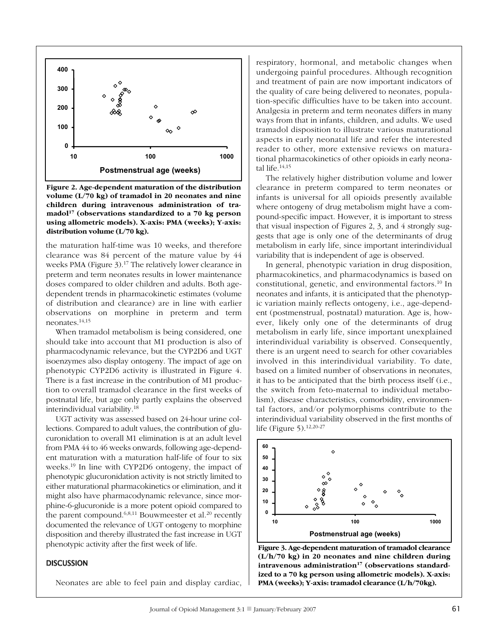

Figure 2. Age-dependent maturation of the distribution volume  $(L/70 \text{ kg})$  of tramadol in 20 neonates and nine children during intravenous administration of tramadol<sup>17</sup> (observations standardized to a 70 kg person using allometric models). X-axis: PMA (weeks): Y-axis: distribution volume  $(L/70 \text{ kg})$ .

the maturation half-time was 10 weeks, and therefore clearance was 84 percent of the mature value by 44 weeks PMA (Figure 3).<sup>17</sup> The relatively lower clearance in preterm and term neonates results in lower maintenance doses compared to older children and adults. Both agedependent trends in pharmacokinetic estimates (volume of distribution and clearance) are in line with earlier observations on morphine in preterm and term neonates. $14,15$ 

When tramadol metabolism is being considered, one should take into account that M1 production is also of pharmacodynamic relevance, but the CYP2D6 and UGT isoenzymes also display ontogeny. The impact of age on phenotypic CYP2D6 activity is illustrated in Figure 4. There is a fast increase in the contribution of M1 production to overall tramadol clearance in the first weeks of postnatal life, but age only partly explains the observed interindividual variability.<sup>18</sup>

UGT activity was assessed based on 24-hour urine collections. Compared to adult values, the contribution of glucuronidation to overall M1 elimination is at an adult level from PMA 44 to 46 weeks onwards, following age-dependent maturation with a maturation half-life of four to six weeks.<sup>19</sup> In line with CYP2D6 ontogeny, the impact of phenotypic glucuronidation activity is not strictly limited to either maturational pharmacokinetics or elimination, and it might also have pharmacodynamic relevance, since morphine-6-glucuronide is a more potent opioid compared to the parent compound.  $6,8,11$  Bouwmeester et al.<sup>20</sup> recently documented the relevance of UGT ontogeny to morphine disposition and thereby illustrated the fast increase in UGT phenotypic activity after the first week of life.

#### **DISCUSSION**

Neonates are able to feel pain and display cardiac,

respiratory, hormonal, and metabolic changes when undergoing painful procedures. Although recognition and treatment of pain are now important indicators of the quality of care being delivered to neonates, population-specific difficulties have to be taken into account. Analgesia in preterm and term neonates differs in many ways from that in infants, children, and adults. We used tramadol disposition to illustrate various maturational aspects in early neonatal life and refer the interested reader to other, more extensive reviews on maturational pharmacokinetics of other opioids in early neonatal life.<sup>14,15</sup>

The relatively higher distribution volume and lower clearance in preterm compared to term neonates or infants is universal for all opioids presently available where ontogeny of drug metabolism might have a compound-specific impact. However, it is important to stress that visual inspection of Figures 2, 3, and 4 strongly suggests that age is only one of the determinants of drug metabolism in early life, since important interindividual variability that is independent of age is observed.

In general, phenotypic variation in drug disposition, pharmacokinetics, and pharmacodynamics is based on constitutional, genetic, and environmental factors.<sup>10</sup> In neonates and infants, it is anticipated that the phenotypic variation mainly reflects ontogeny, i.e., age-dependent (postmenstrual, postnatal) maturation. Age is, however, likely only one of the determinants of drug metabolism in early life, since important unexplained interindividual variability is observed. Consequently, there is an urgent need to search for other covariables involved in this interindividual variability. To date, based on a limited number of observations in neonates, it has to be anticipated that the birth process itself (i.e., the switch from feto-maternal to individual metabolism), disease characteristics, comorbidity, environmental factors, and/or polymorphisms contribute to the interindividual variability observed in the first months of life (Figure 5).  $12,20-27$ 



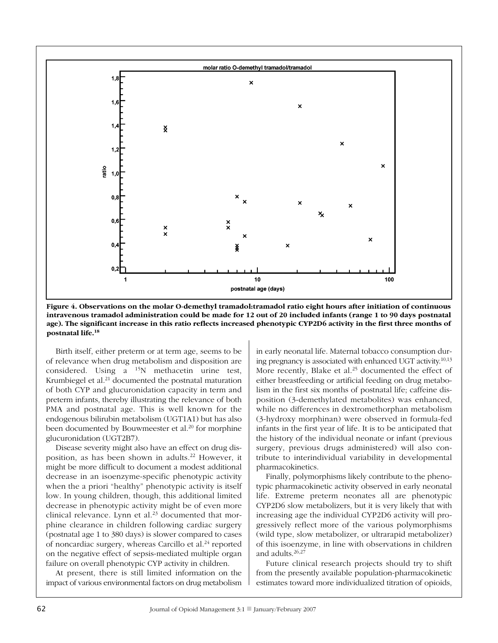

Figure 4. Observations on the molar O-demethyl tramadol: tramadol ratio eight hours after initiation of continuous intravenous tramadol administration could be made for 12 out of 20 included infants (range 1 to 90 days postnatal age). The significant increase in this ratio reflects increased phenotypic CYP2D6 activity in the first three months of postnatal life.<sup>18</sup>

Birth itself, either preterm or at term age, seems to be of relevance when drug metabolism and disposition are considered. Using a  $^{15}N$  methacetin urine test, Krumbiegel et al.<sup>21</sup> documented the postnatal maturation of both CYP and glucuronidation capacity in term and preterm infants, thereby illustrating the relevance of both PMA and postnatal age. This is well known for the endogenous bilirubin metabolism (UGT1A1) but has also been documented by Bouwmeester et al.<sup>20</sup> for morphine glucuronidation (UGT2B7).

Disease severity might also have an effect on drug disposition, as has been shown in adults.<sup>22</sup> However, it might be more difficult to document a modest additional decrease in an isoenzyme-specific phenotypic activity when the a priori "healthy" phenotypic activity is itself low. In young children, though, this additional limited decrease in phenotypic activity might be of even more clinical relevance. Lynn et al.<sup>23</sup> documented that morphine clearance in children following cardiac surgery (postnatal age 1 to 380 days) is slower compared to cases of noncardiac surgery, whereas Carcillo et al.<sup>24</sup> reported on the negative effect of sepsis-mediated multiple organ failure on overall phenotypic CYP activity in children.

At present, there is still limited information on the impact of various environmental factors on drug metabolism

in early neonatal life. Maternal tobacco consumption during pregnancy is associated with enhanced UGT activity.<sup>10,13</sup> More recently, Blake et al.<sup>25</sup> documented the effect of either breastfeeding or artificial feeding on drug metabolism in the first six months of postnatal life; caffeine disposition (3-demethylated metabolites) was enhanced, while no differences in dextromethorphan metabolism (3-hydroxy morphinan) were observed in formula-fed infants in the first year of life. It is to be anticipated that the history of the individual neonate or infant (previous surgery, previous drugs administered) will also contribute to interindividual variability in developmental pharmacokinetics.

Finally, polymorphisms likely contribute to the phenotypic pharmacokinetic activity observed in early neonatal life. Extreme preterm neonates all are phenotypic CYP2D6 slow metabolizers, but it is very likely that with increasing age the individual CYP2D6 activity will progressively reflect more of the various polymorphisms (wild type, slow metabolizer, or ultrarapid metabolizer) of this isoenzyme, in line with observations in children and adults.  $26,27$ 

Future clinical research projects should try to shift from the presently available population-pharmacokinetic estimates toward more individualized titration of opioids,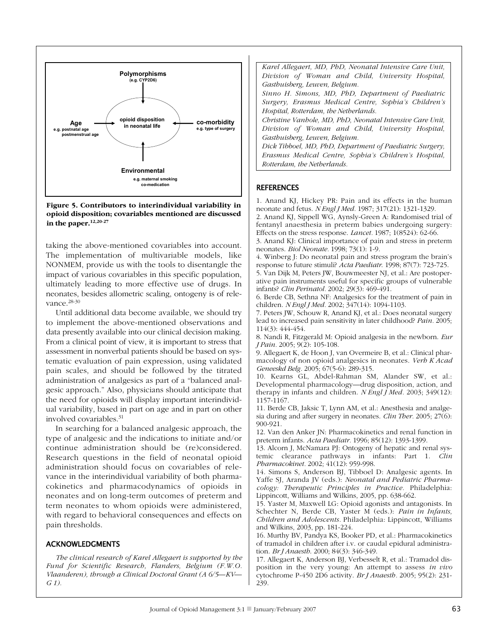

Figure 5. Contributors to interindividual variability in opioid disposition; covariables mentioned are discussed in the paper. $12,20-27$ 

taking the above-mentioned covariables into account. The implementation of multivariable models, like NONMEM, provide us with the tools to disentangle the impact of various covariables in this specific population, ultimately leading to more effective use of drugs. In neonates, besides allometric scaling, ontogeny is of relevance.<sup>28-30</sup>

Until additional data become available, we should try to implement the above-mentioned observations and data presently available into our clinical decision making. From a clinical point of view, it is important to stress that assessment in nonverbal patients should be based on systematic evaluation of pain expression, using validated pain scales, and should be followed by the titrated administration of analgesics as part of a "balanced analgesic approach." Also, physicians should anticipate that the need for opioids will display important interindividual variability, based in part on age and in part on other involved covariables.<sup>31</sup>

In searching for a balanced analgesic approach, the type of analgesic and the indications to initiate and/or continue administration should be (re)considered. Research questions in the field of neonatal opioid administration should focus on covariables of relevance in the interindividual variability of both pharmacokinetics and pharmacodynamics of opioids in neonates and on long-term outcomes of preterm and term neonates to whom opioids were administered, with regard to behavioral consequences and effects on pain thresholds.

#### **ACKNOWLEDGMENTS**

The clinical research of Karel Allegaert is supported by the Fund for Scientific Research, Flanders, Belgium (F.W.O. Vlaanderen), through a Clinical Doctoral Grant (A 6/5-KV- $G(1)$ .

Karel Allegaert, MD, PhD, Neonatal Intensive Care Unit, Division of Woman and Child, University Hospital, Gasthuisberg, Leuven, Belgium. Sinno H. Simons, MD, PhD, Department of Paediatric Surgery, Erasmus Medical Centre, Sophia's Children's Hospital, Rotterdam, the Netherlands.

Christine Vanhole, MD, PhD, Neonatal Intensive Care Unit, Division of Woman and Child, University Hospital, Gasthuisberg, Leuven, Belgium.

Dick Tibboel, MD, PhD, Department of Paediatric Surgery, Erasmus Medical Centre, Sophia's Children's Hospital, Rotterdam, the Netherlands.

## **REFERENCES**

1. Anand KJ, Hickey PR: Pain and its effects in the human neonate and fetus. NEngl J Med. 1987; 317(21): 1321-1329.

2. Anand KJ, Sippell WG, Aynsly-Green A: Randomised trial of fentanyl anaesthesia in preterm babies undergoing surgery: Effects on the stress response. Lancet. 1987; 1(8524): 62-66.

3. Anand KJ: Clinical importance of pain and stress in preterm neonates. Biol Neonate. 1998; 73(1): 1-9.

4. Winberg J: Do neonatal pain and stress program the brain's response to future stimuli? Acta Paediatr. 1998; 87(7): 723-725.

5. Van Dijk M, Peters JW, Bouwmeester NJ, et al.: Are postoperative pain instruments useful for specific groups of vulnerable infants? *Clin Perinatol.* 2002; 29(3): 469-491.

6. Berde CB, Sethna NF: Analgesics for the treatment of pain in children. NEngl J Med. 2002; 347(14): 1094-1103.

7. Peters JW, Schouw R, Anand KJ, et al.: Does neonatal surgery lead to increased pain sensitivity in later childhood? Pain. 2005;  $114(3): 444-454.$ 

8. Nandi R, Fitzgerald M: Opioid analgesia in the newborn. Eur J Pain. 2005; 9(2): 105-108.

9. Allegaert K, de Hoon J, van Overmeire B, et al.: Clinical pharmacology of non opioid analgesics in neonates. Verb K Acad Geneeskd Belg. 2005; 67(5-6): 289-315.

10. Kearns GL, Abdel-Rahman SM, Alander SW, et al.: Developmental pharmacology-drug disposition, action, and therapy in infants and children. *N Engl J Med.* 2003; 349(12): 1157-1167.

11. Berde CB, Jaksic T, Lynn AM, et al.: Anesthesia and analgesia during and after surgery in neonates. Clin Ther. 2005; 27(6):  $900 - 921$ .

12. Van den Anker JN: Pharmacokinetics and renal function in preterm infants. Acta Paediatr. 1996; 85(12): 1393-1399.

13. Alcorn J, McNamara PJ: Ontogeny of hepatic and renal systemic clearance pathways in infants: Part 1. Clin Pharmacokinet. 2002; 41(12): 959-998.

14. Simons S, Anderson BJ, Tibboel D: Analgesic agents. In Yaffe SJ, Aranda JV (eds.): Neonatal and Pediatric Pharmacology: Therapeutic Principles in Practice. Philadelphia: Lippincott, Williams and Wilkins, 2005, pp. 638-662.

15. Yaster M, Maxwell LG: Opioid agonists and antagonists. In Schechter N, Berde CB, Yaster M (eds.): Pain in Infants, Children and Adolescents. Philadelphia: Lippincott, Williams and Wilkins, 2003, pp. 181-224.

16. Murthy BV, Pandya KS, Booker PD, et al.: Pharmacokinetics of tramadol in children after i.v. or caudal epidural administration. Br J Anaesth. 2000; 84(3): 346-349.

17. Allegaert K, Anderson BJ, Verbesselt R, et al.: Tramadol disposition in the very young: An attempt to assess in vivo cytochrome P-450 2D6 activity. Br J Anaesth. 2005; 95(2): 231-239.